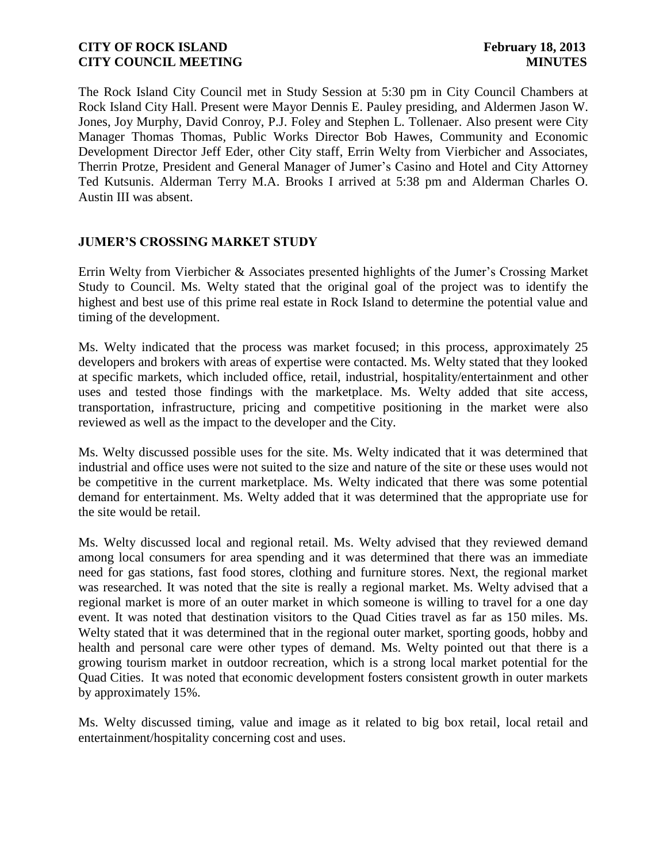The Rock Island City Council met in Study Session at 5:30 pm in City Council Chambers at Rock Island City Hall. Present were Mayor Dennis E. Pauley presiding, and Aldermen Jason W. Jones, Joy Murphy, David Conroy, P.J. Foley and Stephen L. Tollenaer. Also present were City Manager Thomas Thomas, Public Works Director Bob Hawes, Community and Economic Development Director Jeff Eder, other City staff, Errin Welty from Vierbicher and Associates, Therrin Protze, President and General Manager of Jumer's Casino and Hotel and City Attorney Ted Kutsunis. Alderman Terry M.A. Brooks I arrived at 5:38 pm and Alderman Charles O. Austin III was absent.

## **JUMER'S CROSSING MARKET STUDY**

Errin Welty from Vierbicher & Associates presented highlights of the Jumer's Crossing Market Study to Council. Ms. Welty stated that the original goal of the project was to identify the highest and best use of this prime real estate in Rock Island to determine the potential value and timing of the development.

Ms. Welty indicated that the process was market focused; in this process, approximately 25 developers and brokers with areas of expertise were contacted. Ms. Welty stated that they looked at specific markets, which included office, retail, industrial, hospitality/entertainment and other uses and tested those findings with the marketplace. Ms. Welty added that site access, transportation, infrastructure, pricing and competitive positioning in the market were also reviewed as well as the impact to the developer and the City.

Ms. Welty discussed possible uses for the site. Ms. Welty indicated that it was determined that industrial and office uses were not suited to the size and nature of the site or these uses would not be competitive in the current marketplace. Ms. Welty indicated that there was some potential demand for entertainment. Ms. Welty added that it was determined that the appropriate use for the site would be retail.

Ms. Welty discussed local and regional retail. Ms. Welty advised that they reviewed demand among local consumers for area spending and it was determined that there was an immediate need for gas stations, fast food stores, clothing and furniture stores. Next, the regional market was researched. It was noted that the site is really a regional market. Ms. Welty advised that a regional market is more of an outer market in which someone is willing to travel for a one day event. It was noted that destination visitors to the Quad Cities travel as far as 150 miles. Ms. Welty stated that it was determined that in the regional outer market, sporting goods, hobby and health and personal care were other types of demand. Ms. Welty pointed out that there is a growing tourism market in outdoor recreation, which is a strong local market potential for the Quad Cities. It was noted that economic development fosters consistent growth in outer markets by approximately 15%.

Ms. Welty discussed timing, value and image as it related to big box retail, local retail and entertainment/hospitality concerning cost and uses.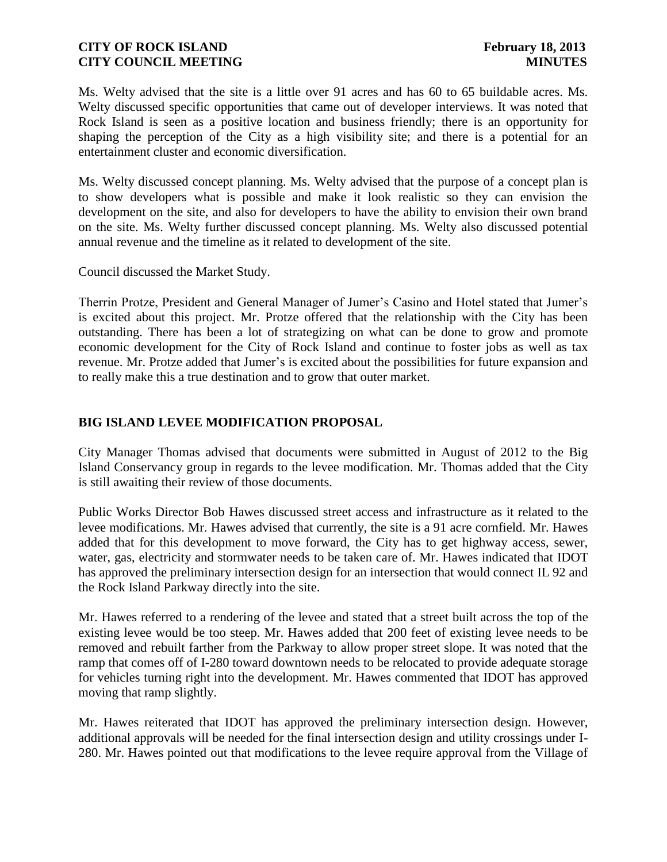Ms. Welty advised that the site is a little over 91 acres and has 60 to 65 buildable acres. Ms. Welty discussed specific opportunities that came out of developer interviews. It was noted that Rock Island is seen as a positive location and business friendly; there is an opportunity for shaping the perception of the City as a high visibility site; and there is a potential for an entertainment cluster and economic diversification.

Ms. Welty discussed concept planning. Ms. Welty advised that the purpose of a concept plan is to show developers what is possible and make it look realistic so they can envision the development on the site, and also for developers to have the ability to envision their own brand on the site. Ms. Welty further discussed concept planning. Ms. Welty also discussed potential annual revenue and the timeline as it related to development of the site.

Council discussed the Market Study.

Therrin Protze, President and General Manager of Jumer's Casino and Hotel stated that Jumer's is excited about this project. Mr. Protze offered that the relationship with the City has been outstanding. There has been a lot of strategizing on what can be done to grow and promote economic development for the City of Rock Island and continue to foster jobs as well as tax revenue. Mr. Protze added that Jumer's is excited about the possibilities for future expansion and to really make this a true destination and to grow that outer market.

# **BIG ISLAND LEVEE MODIFICATION PROPOSAL**

City Manager Thomas advised that documents were submitted in August of 2012 to the Big Island Conservancy group in regards to the levee modification. Mr. Thomas added that the City is still awaiting their review of those documents.

Public Works Director Bob Hawes discussed street access and infrastructure as it related to the levee modifications. Mr. Hawes advised that currently, the site is a 91 acre cornfield. Mr. Hawes added that for this development to move forward, the City has to get highway access, sewer, water, gas, electricity and stormwater needs to be taken care of. Mr. Hawes indicated that IDOT has approved the preliminary intersection design for an intersection that would connect IL 92 and the Rock Island Parkway directly into the site.

Mr. Hawes referred to a rendering of the levee and stated that a street built across the top of the existing levee would be too steep. Mr. Hawes added that 200 feet of existing levee needs to be removed and rebuilt farther from the Parkway to allow proper street slope. It was noted that the ramp that comes off of I-280 toward downtown needs to be relocated to provide adequate storage for vehicles turning right into the development. Mr. Hawes commented that IDOT has approved moving that ramp slightly.

Mr. Hawes reiterated that IDOT has approved the preliminary intersection design. However, additional approvals will be needed for the final intersection design and utility crossings under I-280. Mr. Hawes pointed out that modifications to the levee require approval from the Village of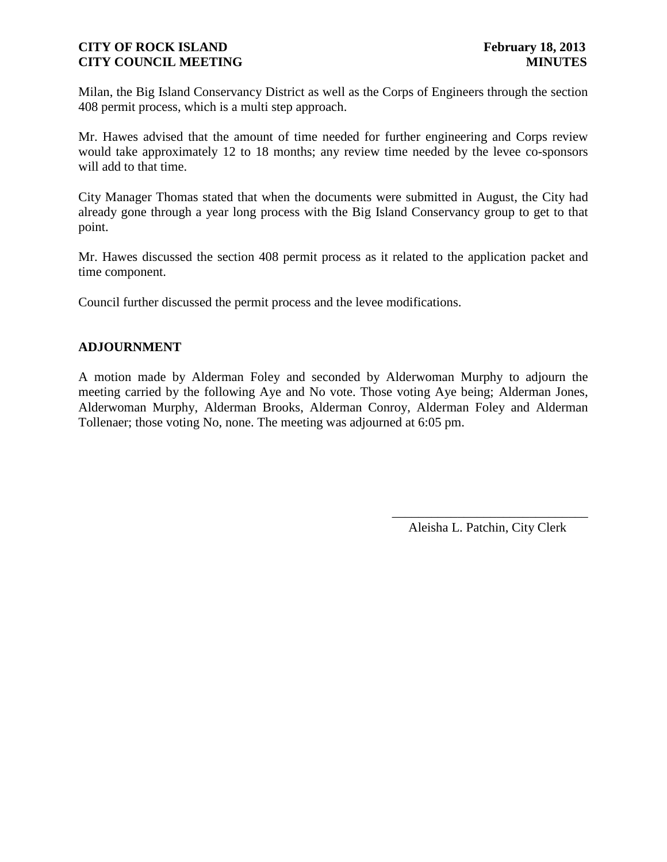Milan, the Big Island Conservancy District as well as the Corps of Engineers through the section 408 permit process, which is a multi step approach.

Mr. Hawes advised that the amount of time needed for further engineering and Corps review would take approximately 12 to 18 months; any review time needed by the levee co-sponsors will add to that time.

City Manager Thomas stated that when the documents were submitted in August, the City had already gone through a year long process with the Big Island Conservancy group to get to that point.

Mr. Hawes discussed the section 408 permit process as it related to the application packet and time component.

Council further discussed the permit process and the levee modifications.

## **ADJOURNMENT**

A motion made by Alderman Foley and seconded by Alderwoman Murphy to adjourn the meeting carried by the following Aye and No vote. Those voting Aye being; Alderman Jones, Alderwoman Murphy, Alderman Brooks, Alderman Conroy, Alderman Foley and Alderman Tollenaer; those voting No, none. The meeting was adjourned at 6:05 pm.

> \_\_\_\_\_\_\_\_\_\_\_\_\_\_\_\_\_\_\_\_\_\_\_\_\_\_\_\_\_\_ Aleisha L. Patchin, City Clerk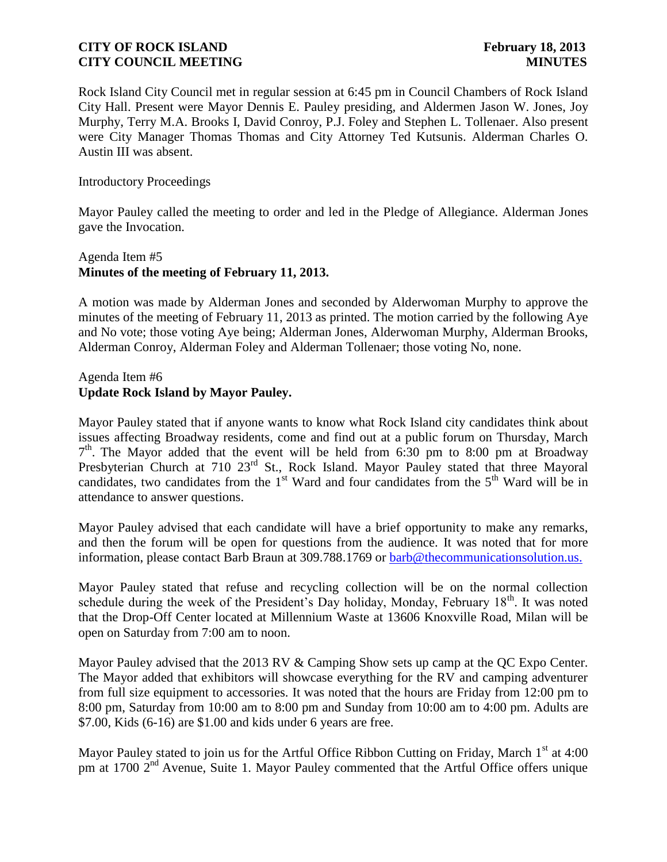Rock Island City Council met in regular session at 6:45 pm in Council Chambers of Rock Island City Hall. Present were Mayor Dennis E. Pauley presiding, and Aldermen Jason W. Jones, Joy Murphy, Terry M.A. Brooks I, David Conroy, P.J. Foley and Stephen L. Tollenaer. Also present were City Manager Thomas Thomas and City Attorney Ted Kutsunis. Alderman Charles O. Austin III was absent.

#### Introductory Proceedings

Mayor Pauley called the meeting to order and led in the Pledge of Allegiance. Alderman Jones gave the Invocation.

# Agenda Item #5 **Minutes of the meeting of February 11, 2013.**

A motion was made by Alderman Jones and seconded by Alderwoman Murphy to approve the minutes of the meeting of February 11, 2013 as printed. The motion carried by the following Aye and No vote; those voting Aye being; Alderman Jones, Alderwoman Murphy, Alderman Brooks, Alderman Conroy, Alderman Foley and Alderman Tollenaer; those voting No, none.

### Agenda Item #6 **Update Rock Island by Mayor Pauley.**

Mayor Pauley stated that if anyone wants to know what Rock Island city candidates think about issues affecting Broadway residents, come and find out at a public forum on Thursday, March 7<sup>th</sup>. The Mayor added that the event will be held from 6:30 pm to 8:00 pm at Broadway Presbyterian Church at 710 23<sup>rd</sup> St., Rock Island. Mayor Pauley stated that three Mayoral candidates, two candidates from the  $1<sup>st</sup>$  Ward and four candidates from the  $5<sup>th</sup>$  Ward will be in attendance to answer questions.

Mayor Pauley advised that each candidate will have a brief opportunity to make any remarks, and then the forum will be open for questions from the audience. It was noted that for more information, please contact Barb Braun at 309.788.1769 or [barb@thecommunicationsolution.us.](mailto:barb@thecommunicationsolution.us)

Mayor Pauley stated that refuse and recycling collection will be on the normal collection schedule during the week of the President's Day holiday, Monday, February  $18<sup>th</sup>$ . It was noted that the Drop-Off Center located at Millennium Waste at 13606 Knoxville Road, Milan will be open on Saturday from 7:00 am to noon.

Mayor Pauley advised that the 2013 RV & Camping Show sets up camp at the QC Expo Center. The Mayor added that exhibitors will showcase everything for the RV and camping adventurer from full size equipment to accessories. It was noted that the hours are Friday from 12:00 pm to 8:00 pm, Saturday from 10:00 am to 8:00 pm and Sunday from 10:00 am to 4:00 pm. Adults are \$7.00, Kids (6-16) are \$1.00 and kids under 6 years are free.

Mayor Pauley stated to join us for the Artful Office Ribbon Cutting on Friday, March  $1<sup>st</sup>$  at 4:00 pm at 1700 2<sup>nd</sup> Avenue, Suite 1. Mayor Pauley commented that the Artful Office offers unique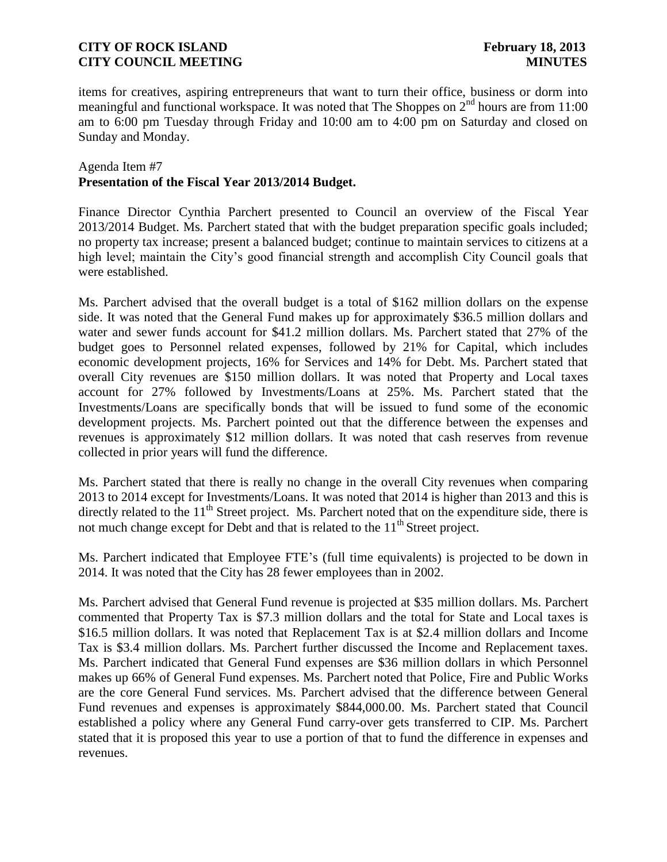items for creatives, aspiring entrepreneurs that want to turn their office, business or dorm into meaningful and functional workspace. It was noted that The Shoppes on  $2<sup>nd</sup>$  hours are from 11:00 am to 6:00 pm Tuesday through Friday and 10:00 am to 4:00 pm on Saturday and closed on Sunday and Monday.

#### Agenda Item #7 **Presentation of the Fiscal Year 2013/2014 Budget.**

Finance Director Cynthia Parchert presented to Council an overview of the Fiscal Year 2013/2014 Budget. Ms. Parchert stated that with the budget preparation specific goals included; no property tax increase; present a balanced budget; continue to maintain services to citizens at a high level; maintain the City's good financial strength and accomplish City Council goals that were established.

Ms. Parchert advised that the overall budget is a total of \$162 million dollars on the expense side. It was noted that the General Fund makes up for approximately \$36.5 million dollars and water and sewer funds account for \$41.2 million dollars. Ms. Parchert stated that 27% of the budget goes to Personnel related expenses, followed by 21% for Capital, which includes economic development projects, 16% for Services and 14% for Debt. Ms. Parchert stated that overall City revenues are \$150 million dollars. It was noted that Property and Local taxes account for 27% followed by Investments/Loans at 25%. Ms. Parchert stated that the Investments/Loans are specifically bonds that will be issued to fund some of the economic development projects. Ms. Parchert pointed out that the difference between the expenses and revenues is approximately \$12 million dollars. It was noted that cash reserves from revenue collected in prior years will fund the difference.

Ms. Parchert stated that there is really no change in the overall City revenues when comparing 2013 to 2014 except for Investments/Loans. It was noted that 2014 is higher than 2013 and this is directly related to the  $11<sup>th</sup>$  Street project. Ms. Parchert noted that on the expenditure side, there is not much change except for Debt and that is related to the  $11<sup>th</sup>$  Street project.

Ms. Parchert indicated that Employee FTE's (full time equivalents) is projected to be down in 2014. It was noted that the City has 28 fewer employees than in 2002.

Ms. Parchert advised that General Fund revenue is projected at \$35 million dollars. Ms. Parchert commented that Property Tax is \$7.3 million dollars and the total for State and Local taxes is \$16.5 million dollars. It was noted that Replacement Tax is at \$2.4 million dollars and Income Tax is \$3.4 million dollars. Ms. Parchert further discussed the Income and Replacement taxes. Ms. Parchert indicated that General Fund expenses are \$36 million dollars in which Personnel makes up 66% of General Fund expenses. Ms. Parchert noted that Police, Fire and Public Works are the core General Fund services. Ms. Parchert advised that the difference between General Fund revenues and expenses is approximately \$844,000.00. Ms. Parchert stated that Council established a policy where any General Fund carry-over gets transferred to CIP. Ms. Parchert stated that it is proposed this year to use a portion of that to fund the difference in expenses and revenues.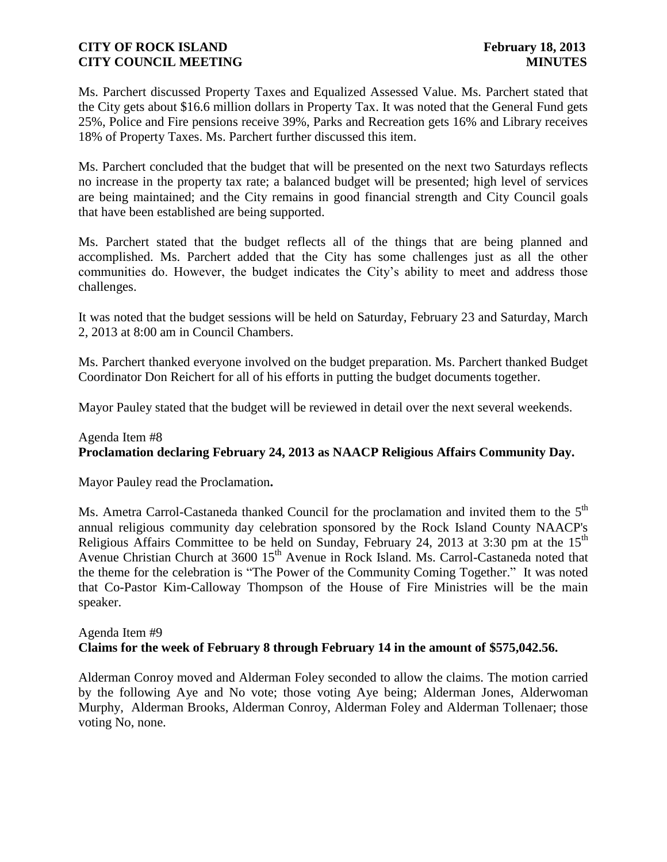Ms. Parchert discussed Property Taxes and Equalized Assessed Value. Ms. Parchert stated that the City gets about \$16.6 million dollars in Property Tax. It was noted that the General Fund gets 25%, Police and Fire pensions receive 39%, Parks and Recreation gets 16% and Library receives 18% of Property Taxes. Ms. Parchert further discussed this item.

Ms. Parchert concluded that the budget that will be presented on the next two Saturdays reflects no increase in the property tax rate; a balanced budget will be presented; high level of services are being maintained; and the City remains in good financial strength and City Council goals that have been established are being supported.

Ms. Parchert stated that the budget reflects all of the things that are being planned and accomplished. Ms. Parchert added that the City has some challenges just as all the other communities do. However, the budget indicates the City's ability to meet and address those challenges.

It was noted that the budget sessions will be held on Saturday, February 23 and Saturday, March 2, 2013 at 8:00 am in Council Chambers.

Ms. Parchert thanked everyone involved on the budget preparation. Ms. Parchert thanked Budget Coordinator Don Reichert for all of his efforts in putting the budget documents together.

Mayor Pauley stated that the budget will be reviewed in detail over the next several weekends.

## Agenda Item #8 **Proclamation declaring February 24, 2013 as NAACP Religious Affairs Community Day.**

Mayor Pauley read the Proclamation**.**

Ms. Ametra Carrol-Castaneda thanked Council for the proclamation and invited them to the  $5<sup>th</sup>$ annual religious community day celebration sponsored by the Rock Island County NAACP's Religious Affairs Committee to be held on Sunday, February 24, 2013 at 3:30 pm at the  $15<sup>th</sup>$ Avenue Christian Church at 3600 15<sup>th</sup> Avenue in Rock Island. Ms. Carrol-Castaneda noted that the theme for the celebration is "The Power of the Community Coming Together." It was noted that Co-Pastor Kim-Calloway Thompson of the House of Fire Ministries will be the main speaker.

#### Agenda Item #9 **Claims for the week of February 8 through February 14 in the amount of \$575,042.56.**

Alderman Conroy moved and Alderman Foley seconded to allow the claims. The motion carried by the following Aye and No vote; those voting Aye being; Alderman Jones, Alderwoman Murphy, Alderman Brooks, Alderman Conroy, Alderman Foley and Alderman Tollenaer; those voting No, none.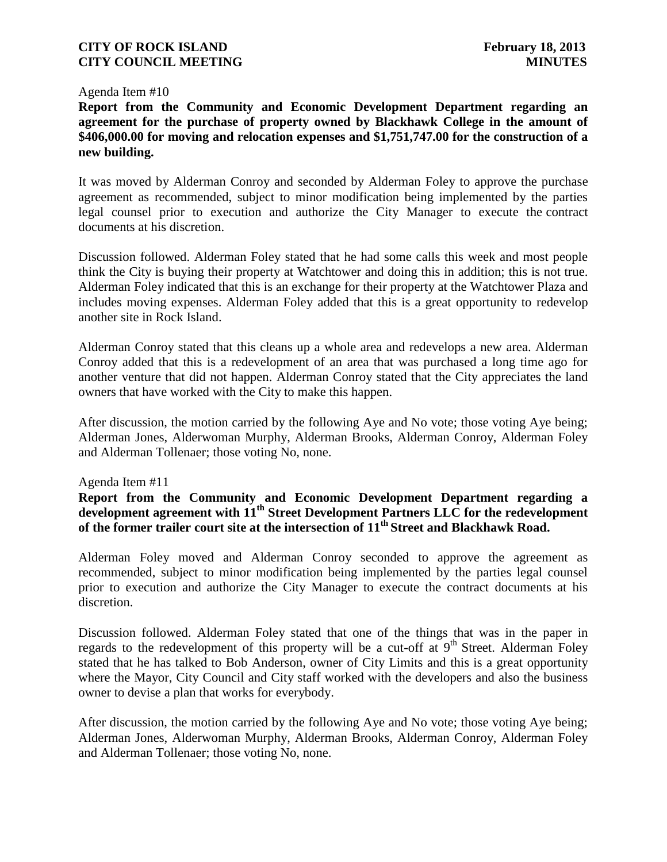#### Agenda Item #10

**Report from the Community and Economic Development Department regarding an agreement for the purchase of property owned by Blackhawk College in the amount of \$406,000.00 for moving and relocation expenses and \$1,751,747.00 for the construction of a new building.**

It was moved by Alderman Conroy and seconded by Alderman Foley to approve the purchase agreement as recommended, subject to minor modification being implemented by the parties legal counsel prior to execution and authorize the City Manager to execute the contract documents at his discretion.

Discussion followed. Alderman Foley stated that he had some calls this week and most people think the City is buying their property at Watchtower and doing this in addition; this is not true. Alderman Foley indicated that this is an exchange for their property at the Watchtower Plaza and includes moving expenses. Alderman Foley added that this is a great opportunity to redevelop another site in Rock Island.

Alderman Conroy stated that this cleans up a whole area and redevelops a new area. Alderman Conroy added that this is a redevelopment of an area that was purchased a long time ago for another venture that did not happen. Alderman Conroy stated that the City appreciates the land owners that have worked with the City to make this happen.

After discussion, the motion carried by the following Aye and No vote; those voting Aye being; Alderman Jones, Alderwoman Murphy, Alderman Brooks, Alderman Conroy, Alderman Foley and Alderman Tollenaer; those voting No, none.

#### Agenda Item #11

# **Report from the Community and Economic Development Department regarding a development agreement with 11th Street Development Partners LLC for the redevelopment of the former trailer court site at the intersection of 11th Street and Blackhawk Road.**

Alderman Foley moved and Alderman Conroy seconded to approve the agreement as recommended, subject to minor modification being implemented by the parties legal counsel prior to execution and authorize the City Manager to execute the contract documents at his discretion.

Discussion followed. Alderman Foley stated that one of the things that was in the paper in regards to the redevelopment of this property will be a cut-off at  $9<sup>th</sup>$  Street. Alderman Foley stated that he has talked to Bob Anderson, owner of City Limits and this is a great opportunity where the Mayor, City Council and City staff worked with the developers and also the business owner to devise a plan that works for everybody.

After discussion, the motion carried by the following Aye and No vote; those voting Aye being; Alderman Jones, Alderwoman Murphy, Alderman Brooks, Alderman Conroy, Alderman Foley and Alderman Tollenaer; those voting No, none.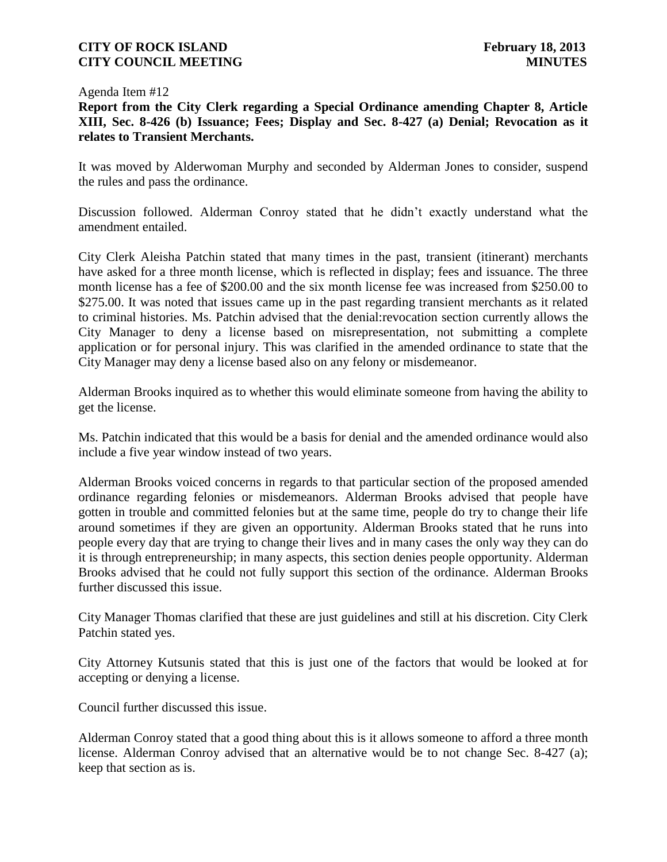#### Agenda Item #12

**Report from the City Clerk regarding a Special Ordinance amending Chapter 8, Article XIII, Sec. 8-426 (b) Issuance; Fees; Display and Sec. 8-427 (a) Denial; Revocation as it relates to Transient Merchants.**

It was moved by Alderwoman Murphy and seconded by Alderman Jones to consider, suspend the rules and pass the ordinance.

Discussion followed. Alderman Conroy stated that he didn't exactly understand what the amendment entailed.

City Clerk Aleisha Patchin stated that many times in the past, transient (itinerant) merchants have asked for a three month license, which is reflected in display; fees and issuance. The three month license has a fee of \$200.00 and the six month license fee was increased from \$250.00 to \$275.00. It was noted that issues came up in the past regarding transient merchants as it related to criminal histories. Ms. Patchin advised that the denial:revocation section currently allows the City Manager to deny a license based on misrepresentation, not submitting a complete application or for personal injury. This was clarified in the amended ordinance to state that the City Manager may deny a license based also on any felony or misdemeanor.

Alderman Brooks inquired as to whether this would eliminate someone from having the ability to get the license.

Ms. Patchin indicated that this would be a basis for denial and the amended ordinance would also include a five year window instead of two years.

Alderman Brooks voiced concerns in regards to that particular section of the proposed amended ordinance regarding felonies or misdemeanors. Alderman Brooks advised that people have gotten in trouble and committed felonies but at the same time, people do try to change their life around sometimes if they are given an opportunity. Alderman Brooks stated that he runs into people every day that are trying to change their lives and in many cases the only way they can do it is through entrepreneurship; in many aspects, this section denies people opportunity. Alderman Brooks advised that he could not fully support this section of the ordinance. Alderman Brooks further discussed this issue.

City Manager Thomas clarified that these are just guidelines and still at his discretion. City Clerk Patchin stated yes.

City Attorney Kutsunis stated that this is just one of the factors that would be looked at for accepting or denying a license.

Council further discussed this issue.

Alderman Conroy stated that a good thing about this is it allows someone to afford a three month license. Alderman Conroy advised that an alternative would be to not change Sec. 8-427 (a); keep that section as is.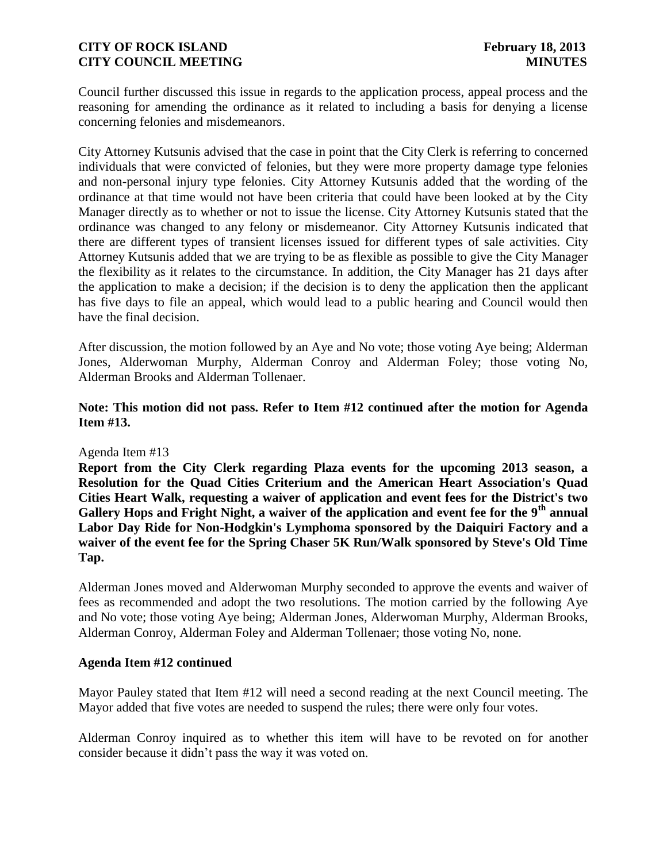Council further discussed this issue in regards to the application process, appeal process and the reasoning for amending the ordinance as it related to including a basis for denying a license concerning felonies and misdemeanors.

City Attorney Kutsunis advised that the case in point that the City Clerk is referring to concerned individuals that were convicted of felonies, but they were more property damage type felonies and non-personal injury type felonies. City Attorney Kutsunis added that the wording of the ordinance at that time would not have been criteria that could have been looked at by the City Manager directly as to whether or not to issue the license. City Attorney Kutsunis stated that the ordinance was changed to any felony or misdemeanor. City Attorney Kutsunis indicated that there are different types of transient licenses issued for different types of sale activities. City Attorney Kutsunis added that we are trying to be as flexible as possible to give the City Manager the flexibility as it relates to the circumstance. In addition, the City Manager has 21 days after the application to make a decision; if the decision is to deny the application then the applicant has five days to file an appeal, which would lead to a public hearing and Council would then have the final decision.

After discussion, the motion followed by an Aye and No vote; those voting Aye being; Alderman Jones, Alderwoman Murphy, Alderman Conroy and Alderman Foley; those voting No, Alderman Brooks and Alderman Tollenaer.

**Note: This motion did not pass. Refer to Item #12 continued after the motion for Agenda Item #13.**

#### Agenda Item #13

**Report from the City Clerk regarding Plaza events for the upcoming 2013 season, a Resolution for the Quad Cities Criterium and the American Heart Association's Quad Cities Heart Walk, requesting a waiver of application and event fees for the District's two Gallery Hops and Fright Night, a waiver of the application and event fee for the 9th annual Labor Day Ride for Non-Hodgkin's Lymphoma sponsored by the Daiquiri Factory and a waiver of the event fee for the Spring Chaser 5K Run/Walk sponsored by Steve's Old Time Tap.**

Alderman Jones moved and Alderwoman Murphy seconded to approve the events and waiver of fees as recommended and adopt the two resolutions. The motion carried by the following Aye and No vote; those voting Aye being; Alderman Jones, Alderwoman Murphy, Alderman Brooks, Alderman Conroy, Alderman Foley and Alderman Tollenaer; those voting No, none.

#### **Agenda Item #12 continued**

Mayor Pauley stated that Item #12 will need a second reading at the next Council meeting. The Mayor added that five votes are needed to suspend the rules; there were only four votes.

Alderman Conroy inquired as to whether this item will have to be revoted on for another consider because it didn't pass the way it was voted on.